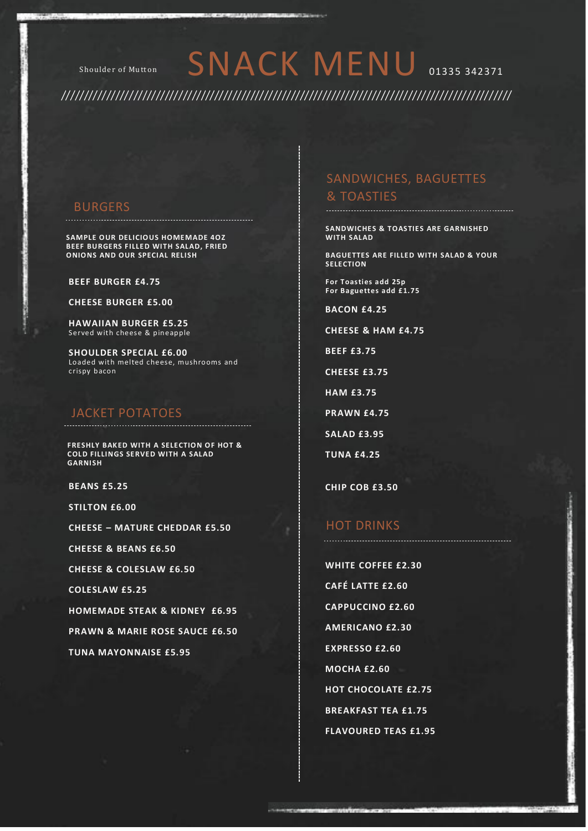# Shoulder of Mutton SNACK MENU 01335 342371

## BURGERS

**SAMPLE OUR DELICIOUS HOMEMADE 4OZ BEEF BURGERS FILLED WITH SALAD, FRIED ONIONS AND OUR SPECIAL RELISH**

#### **BEEF BURGER £4.75**

**CHEESE BURGER £5.00**

**HAWAIIAN BURGER £5.25** Served with cheese & pineapple

**SHOULDER SPECIAL £6.00** Loaded with melted cheese, mushrooms and crispy bacon

#### JACKET POTATOES

**FRESHLY BAKED WITH A SELECTION OF HOT & COLD FILLINGS SERVED WITH A SALAD GARNISH**

**BEANS £5.25** 

**STILTON £6.00** 

**CHEESE – MATURE CHEDDAR £5.50** 

**CHEESE & BEANS £6.50** 

**CHEESE & COLESLAW £6.50** 

**COLESLAW £5.25** 

**HOMEMADE STEAK & KIDNEY £6.95**

**PRAWN & MARIE ROSE SAUCE £6.50** 

**TUNA MAYONNAISE £5.95**

### SANDWICHES, BAGUETTES & TOASTIES

**SANDWICHES & TOASTIES ARE GARNISHED WITH SALAD**

**BAGUETTES ARE FILLED WITH SALAD & YOUR SELECTION**

**For Toasties add 25p For Baguettes add £1.75**

**BACON £4.25**

**CHEESE & HAM £4.75**

**BEEF £3.75**

**CHEESE £3.75**

**HAM £3.75**

**PRAWN £4.75**

**SALAD £3.95**

**TUNA £4.25**

**CHIP COB £3.50**

#### HOT DRINKS

**WHITE COFFEE £2.30 CAFÉ LATTE £2.60 CAPPUCCINO £2.60 AMERICANO £2.30 EXPRESSO £2.60 MOCHA £2.60 HOT CHOCOLATE £2.75 BREAKFAST TEA £1.75 FLAVOURED TEAS £1.95**